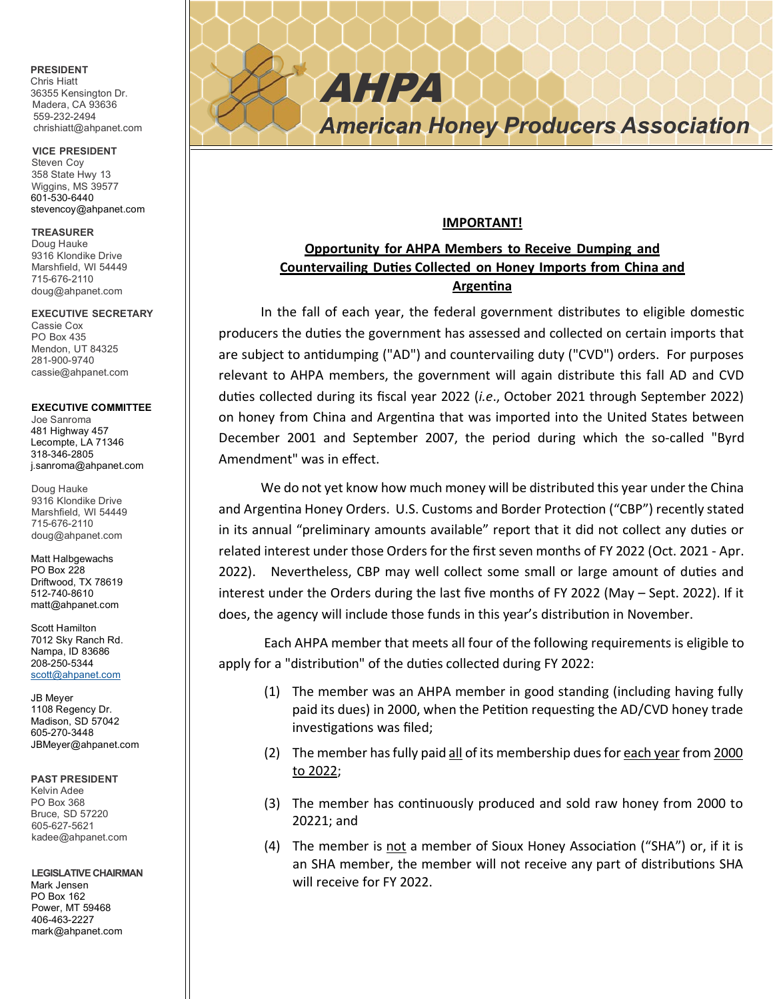## **PRESIDENT**

Chris Hiatt 36355 Kensington Dr. Madera, CA 93636 559-232-2494 chrishiatt@ahpanet.com

**VICE PRESIDENT** Steven Coy 358 State Hwy 13 Wiggins, MS 39577 601-530-6440 stevencoy@ahpanet.com

#### **TREASURER**

Doug Hauke 9316 Klondike Drive Marshfield, WI 54449 715-676-2110 doug@ahpanet.com

#### **EXECUTIVE SECRETARY**

Cassie Cox PO Box 435 Mendon, UT 84325 281-900-9740 cassie@ahpanet.com

#### **EXECUTIVE COMMITTEE**

Joe Sanroma 481 Highway 457 Lecompte, LA 71346 318-346-2805 j.sanroma@ahpanet.com

Doug Hauke 9316 Klondike Drive Marshfield, WI 54449 715-676-2110 doug@ahpanet.com

Matt Halbgewachs PO Box 228 Driftwood, TX 78619 512-740-8610 matt@ahpanet.com

Scott Hamilton 7012 Sky Ranch Rd. Nampa, ID 83686 208-250-5344 [scott@ahpanet.com](mailto:scott@ahpanet.com)

JB Meyer 1108 Regency Dr. Madison, SD 57042 605-270-3448 JBMeyer@ahpanet.com

#### **PAST PRESIDENT**

Kelvin Adee PO Box 368 Bruce, SD 57220 605-627-5621 kadee@ahpanet.com

#### **LEGISLATIVE CHAIRMAN**

Mark Jensen PO Box 162 Power, MT 59468 406-463-2227 mark@ahpanet.com

# *Honey Producers Association*

### **IMPORTANT!**

AHPA

# **Opportunity for AHPA Members to Receive Dumping and Countervailing Du�es Collected on Honey Imports from China and Argen�na**

In the fall of each year, the federal government distributes to eligible domestic producers the duties the government has assessed and collected on certain imports that are subject to antidumping ("AD") and countervailing duty ("CVD") orders. For purposes relevant to AHPA members, the government will again distribute this fall AD and CVD du�es collected during its fiscal year 2022 (*i.e*., October 2021 through September 2022) on honey from China and Argentina that was imported into the United States between December 2001 and September 2007, the period during which the so-called "Byrd Amendment" was in effect.

We do not yet know how much money will be distributed this year under the China and Argentina Honey Orders. U.S. Customs and Border Protection ("CBP") recently stated in its annual "preliminary amounts available" report that it did not collect any du�es or related interest under those Orders for the first seven months of FY 2022 (Oct. 2021 - Apr. 2022). Nevertheless, CBP may well collect some small or large amount of duties and interest under the Orders during the last five months of FY 2022 (May – Sept. 2022). If it does, the agency will include those funds in this year's distribution in November.

Each AHPA member that meets all four of the following requirements is eligible to apply for a "distribution" of the duties collected during FY 2022:

- (1) The member was an AHPA member in good standing (including having fully paid its dues) in 2000, when the Petition requesting the AD/CVD honey trade investigations was filed;
- (2) The member has fully paid all of its membership dues for each year from 2000 to 2022;
- (3) The member has continuously produced and sold raw honey from 2000 to 20221; and
- (4) The member is not a member of Sioux Honey Association ("SHA") or, if it is an SHA member, the member will not receive any part of distributions SHA will receive for FY 2022.